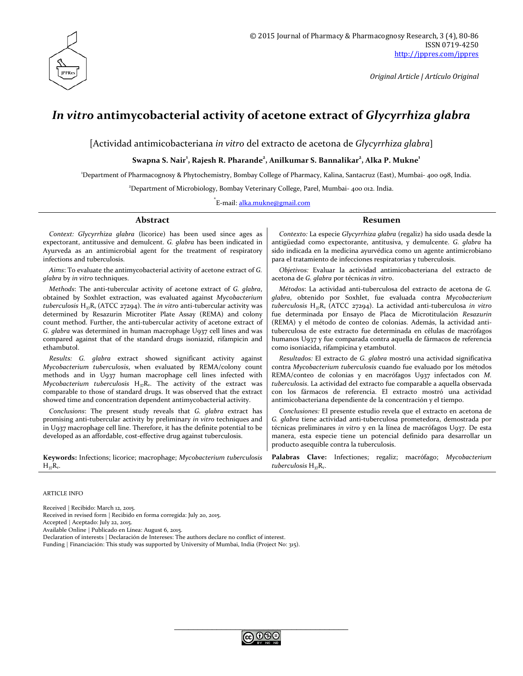

*Original Article | Artículo Original*

# *In vitro* **antimycobacterial activity of acetone extract of** *Glycyrrhiza glabra*

[Actividad antimicobacteriana *in vitro* del extracto de acetona de *Glycyrrhiza glabra*]

 $S$ wapna  $S$ . Nair<sup>1</sup>, Rajesh R. Pharande $^2$ , Anilkumar  $S$ . Bannalikar $^2$ , Alka P. Mukne $^1$ 

1 Department of Pharmacognosy & Phytochemistry, Bombay College of Pharmacy, Kalina, Santacruz (East), Mumbai- 400 098, India.

2 Department of Microbiology, Bombay Veterinary College, Parel, Mumbai- 400 012. India.

\*<br>E-mail: <u>[alka.mukne@gmail.com](mailto:alka.mukne@gmail.com)</u>

#### **Abstract Resumen**

*Context: Glycyrrhiza glabra* (licorice) has been used since ages as expectorant, antitussive and demulcent. *G. glabra* has been indicated in Ayurveda as an antimicrobial agent for the treatment of respiratory infections and tuberculosis.

*Aims*: To evaluate the antimycobacterial activity of acetone extract of *G. glabra* by *in vitro* techniques.

*Methods*: The anti-tubercular activity of acetone extract of *G. glabra*, obtained by Soxhlet extraction, was evaluated against *Mycobacterium tuberculosis* H37Rv (ATCC 27294). The *in vitro* anti-tubercular activity was determined by Resazurin Microtiter Plate Assay (REMA) and colony count method. Further, the anti-tubercular activity of acetone extract of *G. glabra* was determined in human macrophage U937 cell lines and was compared against that of the standard drugs isoniazid, rifampicin and ethambutol.

*Results: G. glabra* extract showed significant activity against *Mycobacterium tuberculosis*, when evaluated by REMA/colony count methods and in U937 human macrophage cell lines infected with *Mycobacterium tuberculosis*  $H_{37}R_v$ . The activity of the extract was comparable to those of standard drugs. It was observed that the extract showed time and concentration dependent antimycobacterial activity.

*Conclusions*: The present study reveals that *G. glabra* extract has promising anti-tubercular activity by preliminary *in vitro* techniques and in U937 macrophage cell line. Therefore, it has the definite potential to be developed as an affordable, cost-effective drug against tuberculosis.

**Keywords:** Infections; licorice; macrophage; *Mycobacterium tuberculosis*   $H_{37}R_{v}$ .

*Contexto:* La especie *Glycyrrhiza glabra* (regaliz) ha sido usada desde la antigüedad como expectorante, antitusiva, y demulcente. *G. glabra* ha sido indicada en la medicina ayurvédica como un agente antimicrobiano para el tratamiento de infecciones respiratorias y tuberculosis.

*Objetivos:* Evaluar la actividad antimicobacteriana del extracto de acetona de *G. glabra* por técnicas *in vitro*.

*Métodos*: La actividad anti-tuberculosa del extracto de acetona de *G. glabra*, obtenido por Soxhlet, fue evaluada contra *Mycobacterium tuberculosis* H37Rv (ATCC 27294). La actividad anti-tuberculosa *in vitro* fue determinada por Ensayo de Placa de Microtitulación *Resazurin* (REMA) y el método de conteo de colonias. Además, la actividad antituberculosa de este extracto fue determinada en células de macrófagos humanos U937 y fue comparada contra aquella de fármacos de referencia como isoniacida, rifampicina y etambutol.

*Resultados:* El extracto de *G. glabra* mostró una actividad significativa contra *Mycobacterium tuberculosis* cuando fue evaluado por los métodos REMA/conteo de colonias y en macrófagos U937 infectados con *M. tuberculosis*. La actividad del extracto fue comparable a aquella observada con los fármacos de referencia. El extracto mostró una actividad antimicobacteriana dependiente de la concentración y el tiempo.

*Conclusiones:* El presente estudio revela que el extracto en acetona de *G. glabra* tiene actividad anti-tuberculosa prometedora, demostrada por técnicas preliminares *in vitro* y en la línea de macrófagos U937. De esta manera, esta especie tiene un potencial definido para desarrollar un producto asequible contra la tuberculosis.

**Palabras Clave:** Infectiones; regaliz; macrófago; *Mycobacterium tuberculosis* H<sub>37</sub>R<sub>v</sub>.

ARTICLE INFO

Received | Recibido: March 12, 2015.

Received in revised form | Recibido en forma corregida: July 20, 2015.

Accepted | Aceptado: July 22, 2015.

Available Online | Publicado en Línea: August 6, 2015.

Declaration of interests | Declaración de Intereses: The authors declare no conflict of interest.

Funding | Financiación: This study was supported by University of Mumbai, India (Project No: 315).

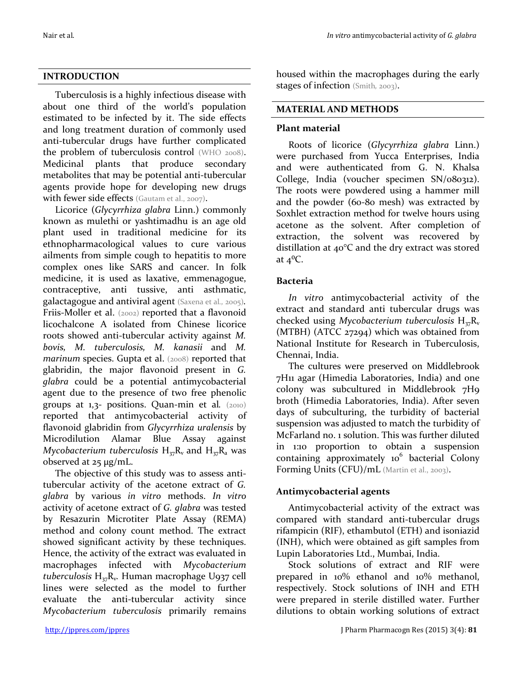## **INTRODUCTION**

Tuberculosis is a highly infectious disease with about one third of the world's population estimated to be infected by it. The side effects and long treatment duration of commonly used anti-tubercular drugs have further complicated the problem of tuberculosis control (WHO 2008). Medicinal plants that produce secondary metabolites that may be potential anti-tubercular agents provide hope for developing new drugs with fewer side effects (Gautam et al., 2007).

Licorice (*Glycyrrhiza glabra* Linn.) commonly known as mulethi or yashtimadhu is an age old plant used in traditional medicine for its ethnopharmacological values to cure various ailments from simple cough to hepatitis to more complex ones like SARS and cancer. In folk medicine, it is used as laxative, emmenagogue, contraceptive, anti tussive, anti asthmatic, galactagogue and antiviral agent (Saxena et al*.,* 2005)*.*  Friis-Moller et al. (2002) reported that a flavonoid licochalcone A isolated from Chinese licorice roots showed anti-tubercular activity against *M. bovis, M. tuberculosis, M. kanasii* and *M. marinum species. Gupta et al.* (2008) reported that glabridin, the major flavonoid present in *G. glabra* could be a potential antimycobacterial agent due to the presence of two free phenolic groups at 1,3- positions. Quan-min et al*.* (2010) reported that antimycobacterial activity of flavonoid glabridin from *Glycyrrhiza uralensis* by Microdilution Alamar Blue Assay against *Mycobacterium tuberculosis*  $H_{37}R_v$  and  $H_{37}R_a$  was observed at 25 µg/mL.

The objective of this study was to assess antitubercular activity of the acetone extract of *G. glabra* by various *in vitro* methods. *In vitro* activity of acetone extract of *G. glabra* was tested by Resazurin Microtiter Plate Assay (REMA) method and colony count method. The extract showed significant activity by these techniques. Hence, the activity of the extract was evaluated in macrophages infected with *Mycobacterium tuberculosis* H37Rv*.* Human macrophage U937 cell lines were selected as the model to further evaluate the anti-tubercular activity since *Mycobacterium tuberculosis* primarily remains

housed within the macrophages during the early stages of infection (Smith*,* 2003).

# **MATERIAL AND METHODS**

# **Plant material**

Roots of licorice (*Glycyrrhiza glabra* Linn.) were purchased from Yucca Enterprises, India and were authenticated from G. N. Khalsa College, India (voucher specimen SN/080312). The roots were powdered using a hammer mill and the powder (60-80 mesh) was extracted by Soxhlet extraction method for twelve hours using acetone as the solvent. After completion of extraction, the solvent was recovered by distillation at 40°C and the dry extract was stored at  $4^0C$ .

## **Bacteria**

*In vitro* antimycobacterial activity of the extract and standard anti tubercular drugs was checked using *Mycobacterium tuberculosis* H<sub>37</sub>R<sub>v</sub> (MTBH) (ATCC 27294) which was obtained from National Institute for Research in Tuberculosis, Chennai, India.

The cultures were preserved on Middlebrook 7H11 agar (Himedia Laboratories, India) and one colony was subcultured in Middlebrook 7H9 broth (Himedia Laboratories, India). After seven days of subculturing, the turbidity of bacterial suspension was adjusted to match the turbidity of McFarland no. 1 solution. This was further diluted in 1:10 proportion to obtain a suspension containing approximately  $10^6$  bacterial Colony Forming Units (CFU)/mL (Martin et al., 2003).

## **Antimycobacterial agents**

Antimycobacterial activity of the extract was compared with standard anti-tubercular drugs rifampicin (RIF), ethambutol (ETH) and isoniazid (INH), which were obtained as gift samples from Lupin Laboratories Ltd., Mumbai, India.

Stock solutions of extract and RIF were prepared in 10% ethanol and 10% methanol, respectively. Stock solutions of INH and ETH were prepared in sterile distilled water. Further dilutions to obtain working solutions of extract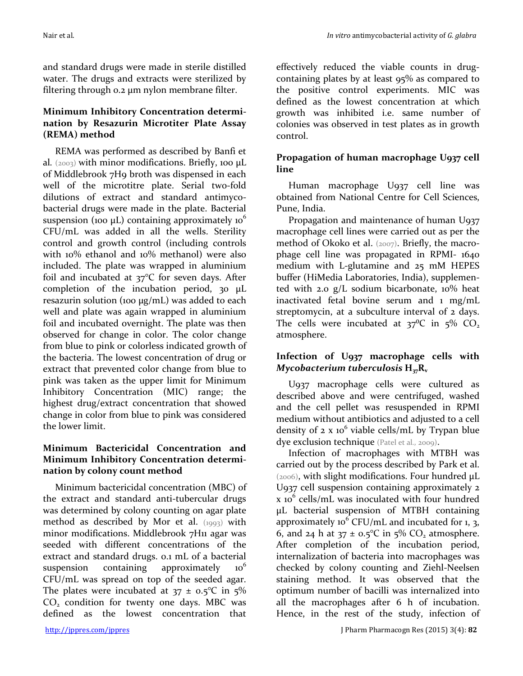and standard drugs were made in sterile distilled water. The drugs and extracts were sterilized by filtering through 0.2 µm nylon membrane filter.

## **Minimum Inhibitory Concentration determination by Resazurin Microtiter Plate Assay (REMA) method**

REMA was performed as described by Banfi et al.  $(2003)$  with minor modifications. Briefly, 100 µL of Middlebrook 7H9 broth was dispensed in each well of the microtitre plate. Serial two-fold dilutions of extract and standard antimycobacterial drugs were made in the plate. Bacterial suspension (100  $\mu$ L) containing approximately 10<sup>6</sup> CFU/mL was added in all the wells. Sterility control and growth control (including controls with 10% ethanol and 10% methanol) were also included. The plate was wrapped in aluminium foil and incubated at 37°C for seven days. After completion of the incubation period, 30 µL resazurin solution (100 µg/mL) was added to each well and plate was again wrapped in aluminium foil and incubated overnight. The plate was then observed for change in color. The color change from blue to pink or colorless indicated growth of the bacteria. The lowest concentration of drug or extract that prevented color change from blue to pink was taken as the upper limit for Minimum Inhibitory Concentration (MIC) range; the highest drug/extract concentration that showed change in color from blue to pink was considered the lower limit.

## **Minimum Bactericidal Concentration and Minimum Inhibitory Concentration determination by colony count method**

Minimum bactericidal concentration (MBC) of the extract and standard anti-tubercular drugs was determined by colony counting on agar plate method as described by Mor et al. (1993) with minor modifications. Middlebrook 7H11 agar was seeded with different concentrations of the extract and standard drugs. 0.1 mL of a bacterial suspension containing approximately  $10<sup>6</sup>$ CFU/mL was spread on top of the seeded agar. The plates were incubated at  $37 \pm 0.5$ °C in  $5\%$  $CO<sub>2</sub>$  condition for twenty one days. MBC was defined as the lowest concentration that

effectively reduced the viable counts in drugcontaining plates by at least 95% as compared to the positive control experiments. MIC was defined as the lowest concentration at which growth was inhibited i.e. same number of colonies was observed in test plates as in growth control.

# **Propagation of human macrophage U937 cell line**

Human macrophage U937 cell line was obtained from National Centre for Cell Sciences, Pune, India.

Propagation and maintenance of human U937 macrophage cell lines were carried out as per the method of Okoko et al. (2007). Briefly, the macrophage cell line was propagated in RPMI- 1640 medium with L-glutamine and 25 mM HEPES buffer (HiMedia Laboratories, India), supplemented with 2.0 g/L sodium bicarbonate, 10% heat inactivated fetal bovine serum and 1 mg/mL streptomycin, at a subculture interval of 2 days. The cells were incubated at  $37^{\circ}C$  in  $5\%$  CO<sub>2</sub> atmosphere.

## **Infection of U937 macrophage cells with**  *Mycobacterium tuberculosis*  $H_{37}R_{v}$

U937 macrophage cells were cultured as described above and were centrifuged, washed and the cell pellet was resuspended in RPMI medium without antibiotics and adjusted to a cell density of  $2 \times 10^6$  viable cells/mL by Trypan blue dye exclusion technique (Patel et al*.,* 2009).

Infection of macrophages with MTBH was carried out by the process described by Park et al. (2006), with slight modifications. Four hundred µL U937 cell suspension containing approximately 2  $x$  10<sup>6</sup> cells/mL was inoculated with four hundred µL bacterial suspension of MTBH containing approximately 10<sup>6</sup> CFU/mL and incubated for 1, 3, 6, and 24 h at  $37 \pm 0.5$ °C in  $5\%$  CO<sub>2</sub> atmosphere. After completion of the incubation period, internalization of bacteria into macrophages was checked by colony counting and Ziehl-Neelsen staining method. It was observed that the optimum number of bacilli was internalized into all the macrophages after 6 h of incubation. Hence, in the rest of the study, infection of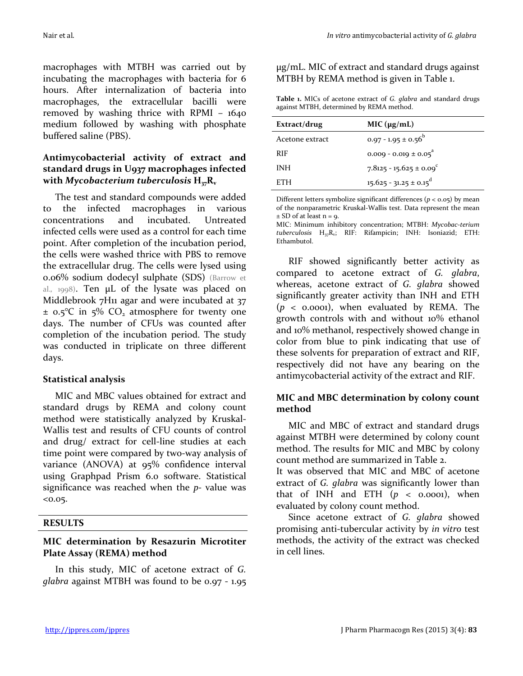macrophages with MTBH was carried out by incubating the macrophages with bacteria for 6 hours. After internalization of bacteria into macrophages, the extracellular bacilli were removed by washing thrice with RPMI – 1640 medium followed by washing with phosphate buffered saline (PBS).

## **Antimycobacterial activity of extract and standard drugs in U937 macrophages infected**  with *Mycobacterium tuberculosis*  $H_{37}R_{v}$

The test and standard compounds were added to the infected macrophages in various concentrations and incubated. Untreated infected cells were used as a control for each time point. After completion of the incubation period, the cells were washed thrice with PBS to remove the extracellular drug. The cells were lysed using 0.06% sodium dodecyl sulphate (SDS) (Barrow et al.*,* 1998). Ten µL of the lysate was placed on Middlebrook 7H<sub>11</sub> agar and were incubated at 37  $\pm$  0.5°C in 5% CO<sub>2</sub> atmosphere for twenty one days. The number of CFUs was counted after completion of the incubation period. The study was conducted in triplicate on three different days.

#### **Statistical analysis**

MIC and MBC values obtained for extract and standard drugs by REMA and colony count method were statistically analyzed by Kruskal-Wallis test and results of CFU counts of control and drug/ extract for cell-line studies at each time point were compared by two-way analysis of variance (ANOVA) at 95% confidence interval using Graphpad Prism 6.0 software. Statistical significance was reached when the *p-* value was  $<0.05.$ 

#### **RESULTS**

## **MIC determination by Resazurin Microtiter Plate Assay (REMA) method**

In this study, MIC of acetone extract of *G. glabra* against MTBH was found to be 0.97 - 1.95 µg/mL. MIC of extract and standard drugs against MTBH by REMA method is given in Table 1.

| Table 1. MICs of acetone extract of G. glabra and standard drugs |  |
|------------------------------------------------------------------|--|
| against MTBH, determined by REMA method.                         |  |

| Extract/drug    | MIC (µg/mL)                           |
|-----------------|---------------------------------------|
| Acetone extract | $0.97 - 1.95 \pm 0.56^{\circ}$        |
| <b>RIF</b>      | $0.009 - 0.019 \pm 0.05$ <sup>"</sup> |
| INH             | $7.8125 - 15.625 \pm 0.09$            |
| <b>ETH</b>      | $15.625 - 31.25 \pm 0.15^0$           |

Different letters symbolize significant differences ( $p <$  0.05) by mean of the nonparametric Kruskal-Wallis test. Data represent the mean  $\pm$  SD of at least n = 9.

MIC: Minimum inhibitory concentration; MTBH: *Mycobac-terium tuberculosis* H<sub>37</sub>R<sub>v</sub>; RIF: Rifampicin; INH: Isoniazid; ETH: Ethambutol.

RIF showed significantly better activity as compared to acetone extract of *G. glabra*, whereas, acetone extract of *G. glabra* showed significantly greater activity than INH and ETH (*p* < 0.0001), when evaluated by REMA. The growth controls with and without 10% ethanol and 10% methanol, respectively showed change in color from blue to pink indicating that use of these solvents for preparation of extract and RIF, respectively did not have any bearing on the antimycobacterial activity of the extract and RIF.

## **MIC and MBC determination by colony count method**

MIC and MBC of extract and standard drugs against MTBH were determined by colony count method. The results for MIC and MBC by colony count method are summarized in Table 2.

It was observed that MIC and MBC of acetone extract of *G. glabra* was significantly lower than that of INH and ETH  $(p \lt o.0001)$ , when evaluated by colony count method.

Since acetone extract of *G. glabra* showed promising anti-tubercular activity by *in vitro* test methods, the activity of the extract was checked in cell lines.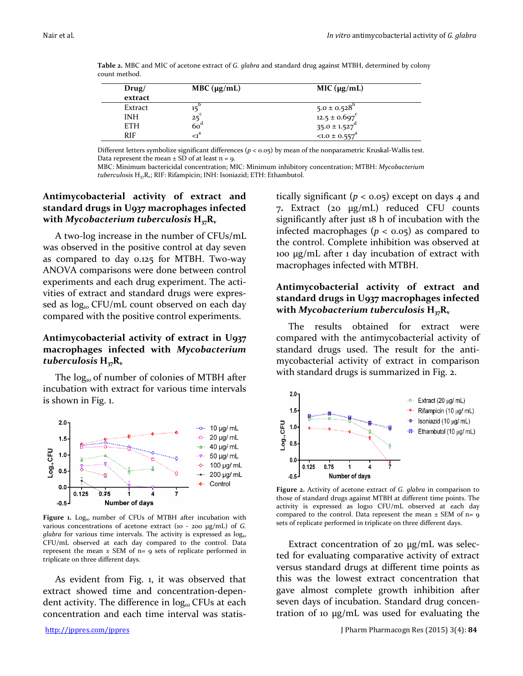| Drug/<br>extract | MBC $(\mu g/mL)$ | MIC (µg/mL)                                                                 |  |
|------------------|------------------|-----------------------------------------------------------------------------|--|
| Extract          |                  |                                                                             |  |
| <b>INH</b>       |                  | $5.0 \pm 0.528^b$<br>12.5 ± 0.697 <sup>c</sup><br>35.0 ± 1.527 <sup>d</sup> |  |
| <b>ETH</b>       | 60°              |                                                                             |  |
| <b>RIF</b>       | $\mathcal{A}^a$  | $< 1.0 \pm 0.557$ <sup>a</sup>                                              |  |

**Table 2.** MBC and MIC of acetone extract of *G. glabra* and standard drug against MTBH, determined by colony count method.

Different letters symbolize significant differences (*p* < 0.05) by mean of the nonparametric Kruskal-Wallis test. Data represent the mean  $\pm$  SD of at least n = 9.

MBC: Minimum bactericidal concentration; MIC: Minimum inhibitory concentration; MTBH: *Mycobacterium tuberculosis* H<sub>37</sub>R<sub>v</sub>; RIF: Rifampicin; INH: Isoniazid; ETH: Ethambutol.

## **Antimycobacterial activity of extract and standard drugs in U937 macrophages infected**  with *Mycobacterium tuberculosis*  $H_{37}R_v$

A two-log increase in the number of CFUs/mL was observed in the positive control at day seven as compared to day 0.125 for MTBH. Two-way ANOVA comparisons were done between control experiments and each drug experiment. The activities of extract and standard drugs were expressed as  $log_{10}$  CFU/mL count observed on each day compared with the positive control experiments.

## **Antimycobacterial activity of extract in U937 macrophages infected with** *Mycobacterium tuberculosis* **H37Rv**

The  $log_{10}$  of number of colonies of MTBH after incubation with extract for various time intervals is shown in Fig. 1.



Figure 1. Log<sub>10</sub> number of CFUs of MTBH after incubation with various concentrations of acetone extract (10 - 200 µg/mL) of *G. glabra* for various time intervals. The activity is expressed as  $log_{10}$ CFU/mL observed at each day compared to the control. Data represent the mean  $\pm$  SEM of n= 9 sets of replicate performed in triplicate on three different days.

As evident from Fig. 1, it was observed that extract showed time and concentration-dependent activity. The difference in  $log_{10}$  CFUs at each concentration and each time interval was statistically significant  $(p < 0.05)$  except on days 4 and 7**.** Extract (20 µg/mL) reduced CFU counts significantly after just 18 h of incubation with the infected macrophages ( $p < 0.05$ ) as compared to the control. Complete inhibition was observed at 100 µg/mL after 1 day incubation of extract with macrophages infected with MTBH.

## **Antimycobacterial activity of extract and standard drugs in U937 macrophages infected**  with *Mycobacterium tuberculosis*  $H_{37}R_{v}$

The results obtained for extract were compared with the antimycobacterial activity of standard drugs used. The result for the antimycobacterial activity of extract in comparison with standard drugs is summarized in Fig. 2.



**Figure 2.** Activity of acetone extract of *G. glabra* in comparison to those of standard drugs against MTBH at different time points. The activity is expressed as log10 CFU/mL observed at each day compared to the control. Data represent the mean  $\pm$  SEM of n= 9 sets of replicate performed in triplicate on three different days.

Extract concentration of 20 µg/mL was selected for evaluating comparative activity of extract versus standard drugs at different time points as this was the lowest extract concentration that gave almost complete growth inhibition after seven days of incubation. Standard drug concentration of 10 µg/mL was used for evaluating the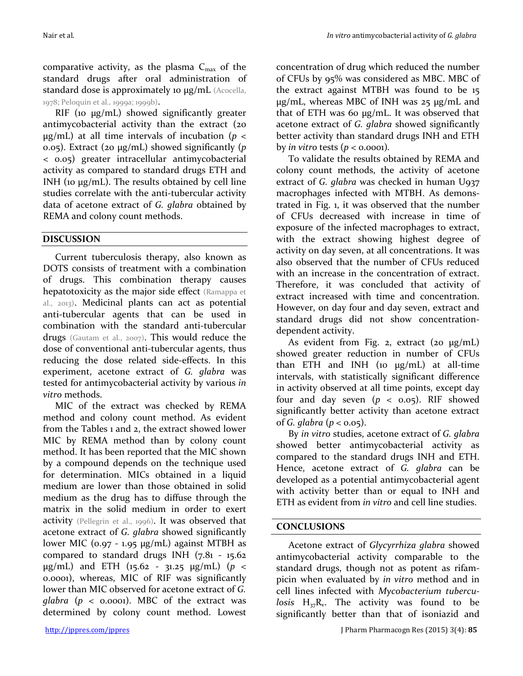comparative activity, as the plasma  $C_{\text{max}}$  of the standard drugs after oral administration of standard dose is approximately 10  $\mu$ g/mL (Acocella, 1978; Peloquin et al*.,* 1999a; 1999b).

RIF (10  $\mu$ g/mL) showed significantly greater antimycobacterial activity than the extract (20  $\mu$ g/mL) at all time intervals of incubation ( $p <$ 0.05). Extract (20 µg/mL) showed significantly (*p* < 0.05) greater intracellular antimycobacterial activity as compared to standard drugs ETH and INH (10  $\mu$ g/mL). The results obtained by cell line studies correlate with the anti-tubercular activity data of acetone extract of *G. glabra* obtained by REMA and colony count methods.

# **DISCUSSION**

Current tuberculosis therapy, also known as DOTS consists of treatment with a combination of drugs. This combination therapy causes hepatotoxicity as the major side effect (Ramappa et al., 2013). Medicinal plants can act as potential anti-tubercular agents that can be used in combination with the standard anti-tubercular drugs (Gautam et al., 2007). This would reduce the dose of conventional anti-tubercular agents, thus reducing the dose related side-effects. In this experiment, acetone extract of *G. glabra* was tested for antimycobacterial activity by various *in vitro* methods.

MIC of the extract was checked by REMA method and colony count method. As evident from the Tables 1 and 2, the extract showed lower MIC by REMA method than by colony count method. It has been reported that the MIC shown by a compound depends on the technique used for determination. MICs obtained in a liquid medium are lower than those obtained in solid medium as the drug has to diffuse through the matrix in the solid medium in order to exert activity (Pellegrin et al., 1996). It was observed that acetone extract of *G. glabra* showed significantly lower MIC (0.97 - 1.95 μg/mL) against MTBH as compared to standard drugs INH (7.81 - 15.62 µg/mL) and ETH (15.62 - 31.25 µg/mL) (*p* < 0.0001), whereas, MIC of RIF was significantly lower than MIC observed for acetone extract of *G. glabra* ( $p \le 0.0001$ ). MBC of the extract was determined by colony count method. Lowest

concentration of drug which reduced the number of CFUs by 95% was considered as MBC. MBC of the extract against MTBH was found to be 15 µg/mL, whereas MBC of INH was 25 µg/mL and that of ETH was 60 µg/mL. It was observed that acetone extract of *G. glabra* showed significantly better activity than standard drugs INH and ETH by *in vitro* tests  $(p < 0.0001)$ .

To validate the results obtained by REMA and colony count methods, the activity of acetone extract of *G. glabra* was checked in human U937 macrophages infected with MTBH. As demonstrated in Fig. 1, it was observed that the number of CFUs decreased with increase in time of exposure of the infected macrophages to extract, with the extract showing highest degree of activity on day seven, at all concentrations. It was also observed that the number of CFUs reduced with an increase in the concentration of extract. Therefore, it was concluded that activity of extract increased with time and concentration. However, on day four and day seven, extract and standard drugs did not show concentrationdependent activity.

As evident from Fig. 2, extract  $(20 \mu g/mL)$ showed greater reduction in number of CFUs than ETH and INH (10  $\mu$ g/mL) at all-time intervals, with statistically significant difference in activity observed at all time points, except day four and day seven  $(p < 0.05)$ . RIF showed significantly better activity than acetone extract of *G. glabra* (*p* < 0.05).

By *in vitro* studies, acetone extract of *G. glabra* showed better antimycobacterial activity as compared to the standard drugs INH and ETH. Hence, acetone extract of *G. glabra* can be developed as a potential antimycobacterial agent with activity better than or equal to INH and ETH as evident from *in vitro* and cell line studies.

## **CONCLUSIONS**

Acetone extract of *Glycyrrhiza glabra* showed antimycobacterial activity comparable to the standard drugs, though not as potent as rifampicin when evaluated by *in vitro* method and in cell lines infected with *Mycobacterium tuberculosis*  $H_{37}R_v$ . The activity was found to be significantly better than that of isoniazid and